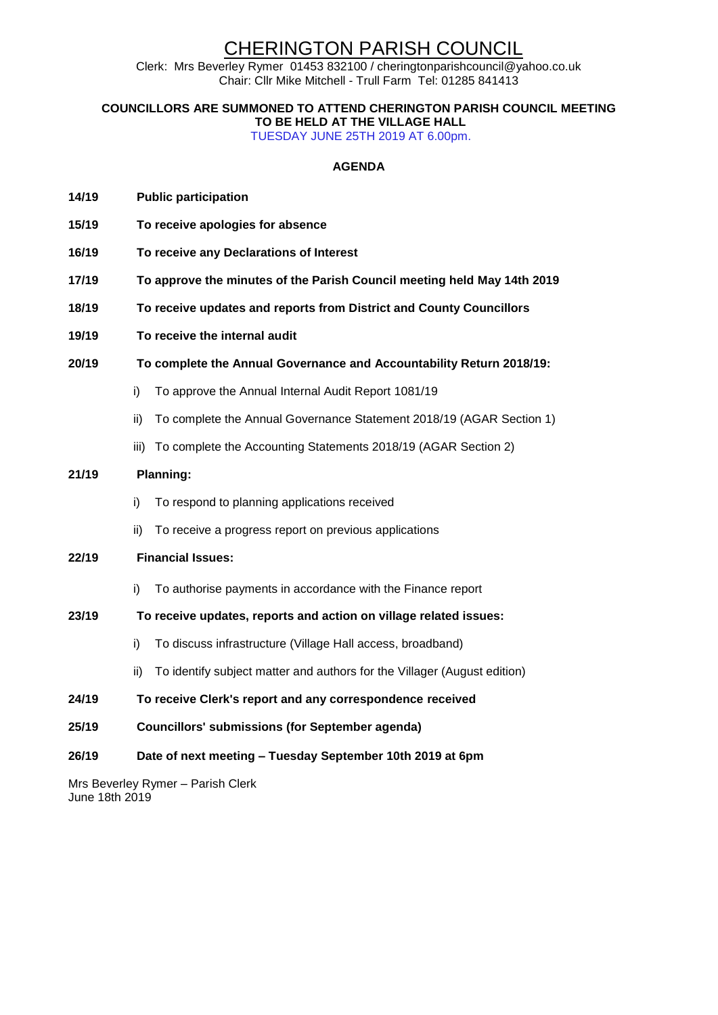# CHERINGTON PARISH COUNCIL

Clerk: Mrs Beverley Rymer 01453 832100 / cheringtonparishcouncil@yahoo.co.uk Chair: Cllr Mike Mitchell - Trull Farm Tel: 01285 841413

**COUNCILLORS ARE SUMMONED TO ATTEND CHERINGTON PARISH COUNCIL MEETING TO BE HELD AT THE VILLAGE HALL** 

TUESDAY JUNE 25TH 2019 AT 6.00pm.

#### **AGENDA**

- **14/19 Public participation**
- **15/19 To receive apologies for absence**
- **16/19 To receive any Declarations of Interest**
- **17/19 To approve the minutes of the Parish Council meeting held May 14th 2019**
- **18/19 To receive updates and reports from District and County Councillors**
- **19/19 To receive the internal audit**
- **20/19 To complete the Annual Governance and Accountability Return 2018/19:**
	- i) To approve the Annual Internal Audit Report 1081/19
	- ii) To complete the Annual Governance Statement 2018/19 (AGAR Section 1)
	- iii) To complete the Accounting Statements 2018/19 (AGAR Section 2)

#### **21/19 Planning:**

- i) To respond to planning applications received
- ii) To receive a progress report on previous applications

#### **22/19 Financial Issues:**

i) To authorise payments in accordance with the Finance report

#### **23/19 To receive updates, reports and action on village related issues:**

- i) To discuss infrastructure (Village Hall access, broadband)
- ii) To identify subject matter and authors for the Villager (August edition)
- **24/19 To receive Clerk's report and any correspondence received**
- **25/19 Councillors' submissions (for September agenda)**
- **26/19 Date of next meeting – Tuesday September 10th 2019 at 6pm**

Mrs Beverley Rymer – Parish Clerk June 18th 2019